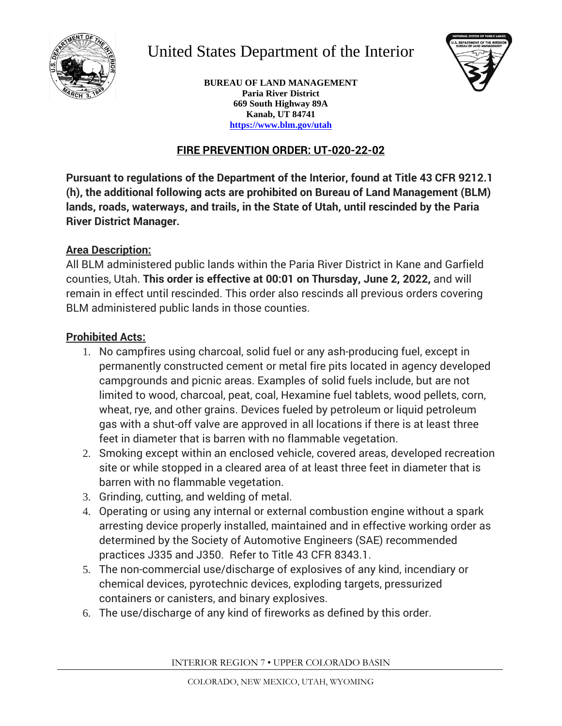

# United States Department of the Interior



**BUREAU OF LAND MANAGEMENT Paria River District 669 South Highway 89A Kanab, UT 84741 https://www.blm.gov/utah**

# **FIRE PREVENTION ORDER: UT-020-22-02**

**Pursuant to regulations of the Department of the Interior, found at Title 43 CFR 9212.1 (h), the additional following acts are prohibited on Bureau of Land Management (BLM) lands, roads, waterways, and trails, in the State of Utah, until rescinded by the Paria River District Manager.**

#### **Area Description:**

All BLM administered public lands within the Paria River District in Kane and Garfield counties, Utah. **This order is effective at 00:01 on Thursday, June 2, 2022,** and will remain in effect until rescinded. This order also rescinds all previous orders covering BLM administered public lands in those counties.

### **Prohibited Acts:**

- 1. No campfires using charcoal, solid fuel or any ash-producing fuel, except in permanently constructed cement or metal fire pits located in agency developed campgrounds and picnic areas. Examples of solid fuels include, but are not limited to wood, charcoal, peat, coal, Hexamine fuel tablets, wood pellets, corn, wheat, rye, and other grains. Devices fueled by petroleum or liquid petroleum gas with a shut-off valve are approved in all locations if there is at least three feet in diameter that is barren with no flammable vegetation.
- 2. Smoking except within an enclosed vehicle, covered areas, developed recreation site or while stopped in a cleared area of at least three feet in diameter that is barren with no flammable vegetation.
- 3. Grinding, cutting, and welding of metal.
- 4. Operating or using any internal or external combustion engine without a spark arresting device properly installed, maintained and in effective working order as determined by the Society of Automotive Engineers (SAE) recommended practices J335 and J350. Refer to Title 43 CFR 8343.1.
- 5. The non-commercial use/discharge of explosives of any kind, incendiary or chemical devices, pyrotechnic devices, exploding targets, pressurized containers or canisters, and binary explosives.
- 6. The use/discharge of any kind of fireworks as defined by this order.

INTERIOR REGION 7 • UPPER COLORADO BASIN